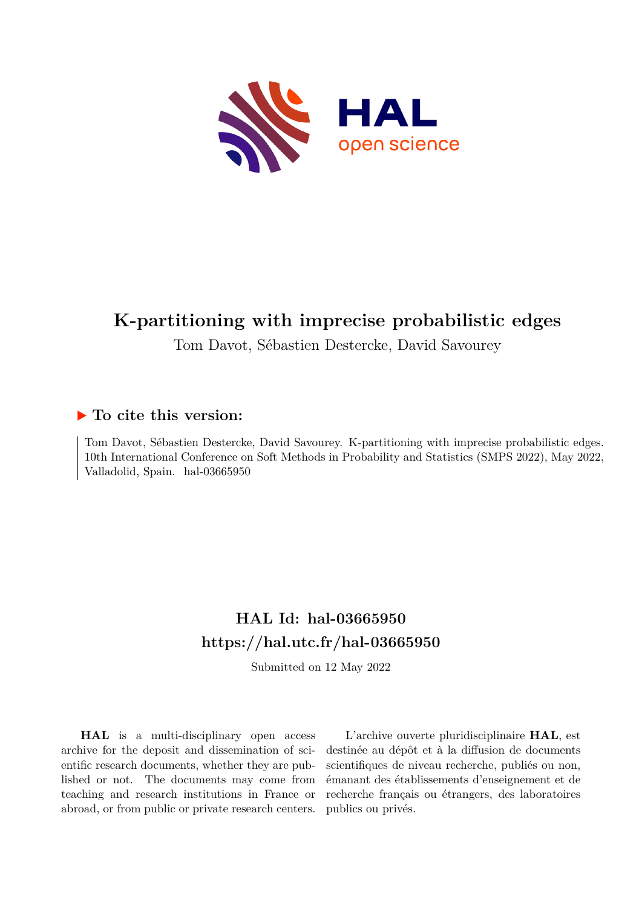

Tom Davot, Sébastien Destercke, David Savourey

# **To cite this version:**

Tom Davot, Sébastien Destercke, David Savourey. K-partitioning with imprecise probabilistic edges. 10th International Conference on Soft Methods in Probability and Statistics (SMPS 2022), May 2022, Valladolid, Spain. hal-03665950

# **HAL Id: hal-03665950 <https://hal.utc.fr/hal-03665950>**

Submitted on 12 May 2022

**HAL** is a multi-disciplinary open access archive for the deposit and dissemination of scientific research documents, whether they are published or not. The documents may come from teaching and research institutions in France or abroad, or from public or private research centers.

L'archive ouverte pluridisciplinaire **HAL**, est destinée au dépôt et à la diffusion de documents scientifiques de niveau recherche, publiés ou non, émanant des établissements d'enseignement et de recherche français ou étrangers, des laboratoires publics ou privés.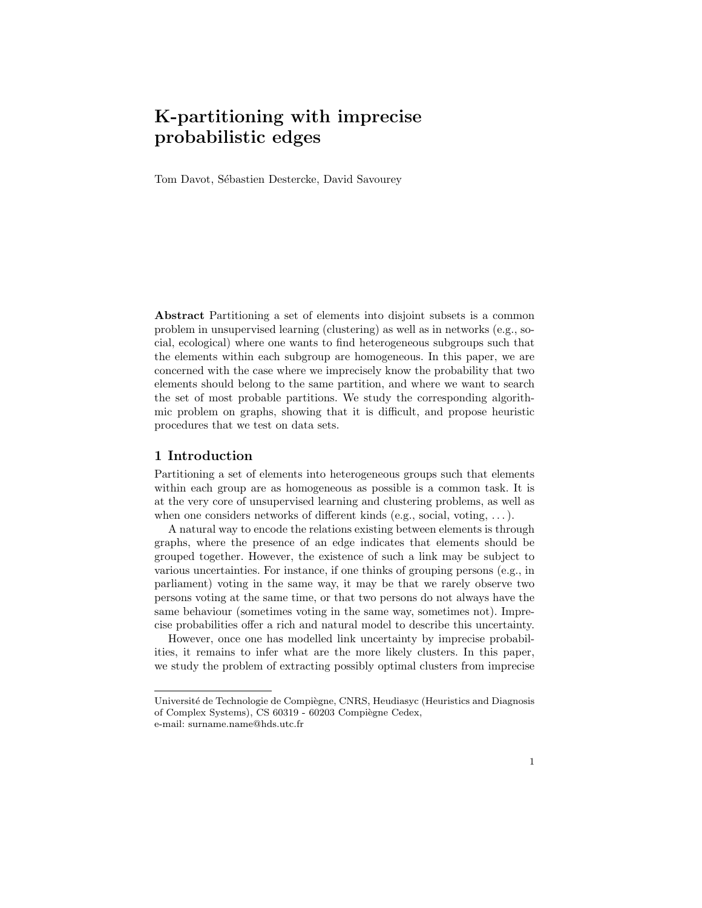Tom Davot, Sébastien Destercke, David Savourey

Abstract Partitioning a set of elements into disjoint subsets is a common problem in unsupervised learning (clustering) as well as in networks (e.g., social, ecological) where one wants to find heterogeneous subgroups such that the elements within each subgroup are homogeneous. In this paper, we are concerned with the case where we imprecisely know the probability that two elements should belong to the same partition, and where we want to search the set of most probable partitions. We study the corresponding algorithmic problem on graphs, showing that it is difficult, and propose heuristic procedures that we test on data sets.

# 1 Introduction

Partitioning a set of elements into heterogeneous groups such that elements within each group are as homogeneous as possible is a common task. It is at the very core of unsupervised learning and clustering problems, as well as when one considers networks of different kinds (e.g., social, voting, ...).

A natural way to encode the relations existing between elements is through graphs, where the presence of an edge indicates that elements should be grouped together. However, the existence of such a link may be subject to various uncertainties. For instance, if one thinks of grouping persons (e.g., in parliament) voting in the same way, it may be that we rarely observe two persons voting at the same time, or that two persons do not always have the same behaviour (sometimes voting in the same way, sometimes not). Imprecise probabilities offer a rich and natural model to describe this uncertainty.

However, once one has modelled link uncertainty by imprecise probabilities, it remains to infer what are the more likely clusters. In this paper, we study the problem of extracting possibly optimal clusters from imprecise

Université de Technologie de Compiègne, CNRS, Heudiasyc (Heuristics and Diagnosis of Complex Systems), CS 60319 - 60203 Compiègne Cedex, e-mail: surname.name@hds.utc.fr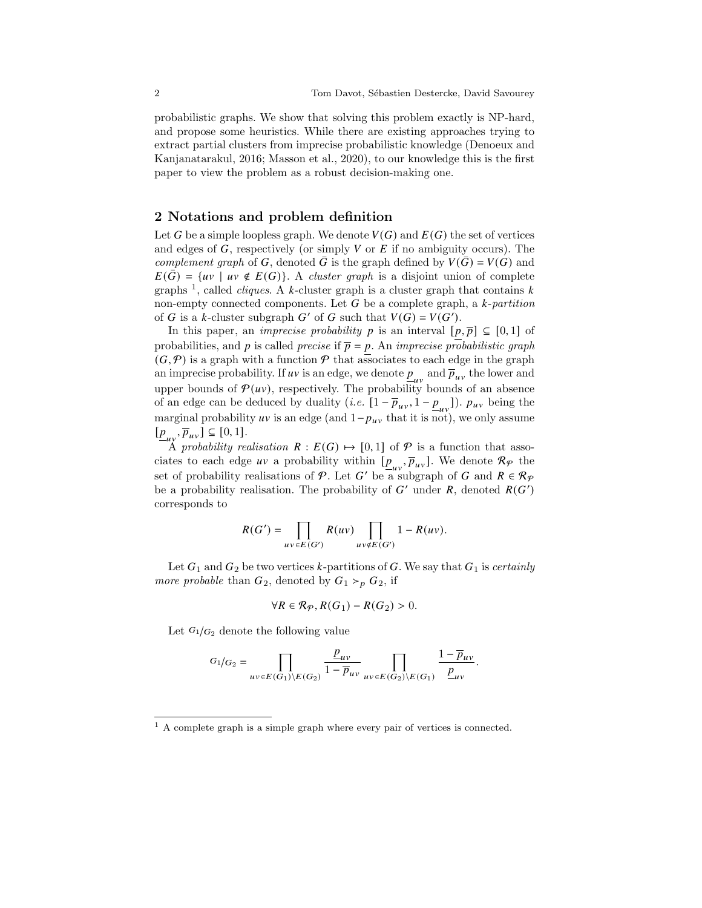probabilistic graphs. We show that solving this problem exactly is NP-hard, and propose some heuristics. While there are existing approaches trying to extract partial clusters from imprecise probabilistic knowledge (Denoeux and Kanjanatarakul, 2016; Masson et al., 2020), to our knowledge this is the first paper to view the problem as a robust decision-making one.

# 2 Notations and problem definition

Let G be a simple loopless graph. We denote  $V(G)$  and  $E(G)$  the set of vertices and edges of  $G$ , respectively (or simply  $V$  or  $E$  if no ambiguity occurs). The complement graph of G, denoted G is the graph defined by  $V(G) = V(G)$  and  $E(\bar{G}) = \{uv \mid uv \notin E(G)\}.$  A *cluster graph* is a disjoint union of complete graphs<sup>1</sup>, called *cliques*. A *k*-cluster graph is a cluster graph that contains *k* non-empty connected components. Let  $G$  be a complete graph, a  $k$ -partition of G is a k-cluster subgraph G' of G such that  $V(G) = V(G')$ .

In this paper, an *imprecise probability* p is an interval  $[p, \overline{p}] \subseteq [0, 1]$  of probabilities, and p is called precise if  $\bar{p} = p$ . An *imprecise probabilistic graph*  $(G,\mathcal{P})$  is a graph with a function  $\mathcal P$  that associates to each edge in the graph an imprecise probability. If  $uv$  is an edge, we denote  $\underline{p}_{uv}$  and  $\overline{p}_{uv}$  the lower and upper bounds of  $\mathcal{P}(uv)$ , respectively. The probability bounds of an absence of an edge can be deduced by duality (*i.e.*  $[1 - \overline{p}_{uv}, 1 - \underline{p}_{uv}]$ ).  $p_{uv}$  being the marginal probability  $uv$  is an edge (and  $1-p_{uv}$  that it is not), we only assume  $[\underline{p}_{uv}, \overline{p}_{uv}] \subseteq [0, 1].$ 

A probability realisation  $R: E(G) \mapsto [0, 1]$  of  $\mathcal P$  is a function that associates to each edge uv a probability within  $[\underline{p}_{uv}, \overline{p}_{uv}]$ . We denote  $\mathcal{R}_{\mathcal{P}}$  the set of probability realisations of  $P$ . Let G' be a subgraph of G and  $R \in \mathcal{R}_P$ be a probability realisation. The probability of  $G'$  under  $R$ , denoted  $R(G')$ corresponds to

$$
R(G') = \prod_{uv \in E(G')} R(uv) \prod_{uv \notin E(G')} 1 - R(uv).
$$

Let  $G_1$  and  $G_2$  be two vertices k-partitions of G. We say that  $G_1$  is certainly more probable than  $G_2$ , denoted by  $G_1 > p G_2$ , if

$$
\forall R \in \mathcal{R}_{\mathcal{P}}, R(G_1) - R(G_2) > 0.
$$

Let  $G_1/G_2$  denote the following value

$$
G_1/G_2=\prod_{uv\in E(G_1)\backslash E(G_2)}\frac{\underline{p}_{uv}}{1-\overline{p}_{uv}}\prod_{uv\in E(G_2)\backslash E(G_1)}\frac{1-\overline{p}_{uv}}{\underline{p}_{uv}}.
$$

<sup>1</sup> A complete graph is a simple graph where every pair of vertices is connected.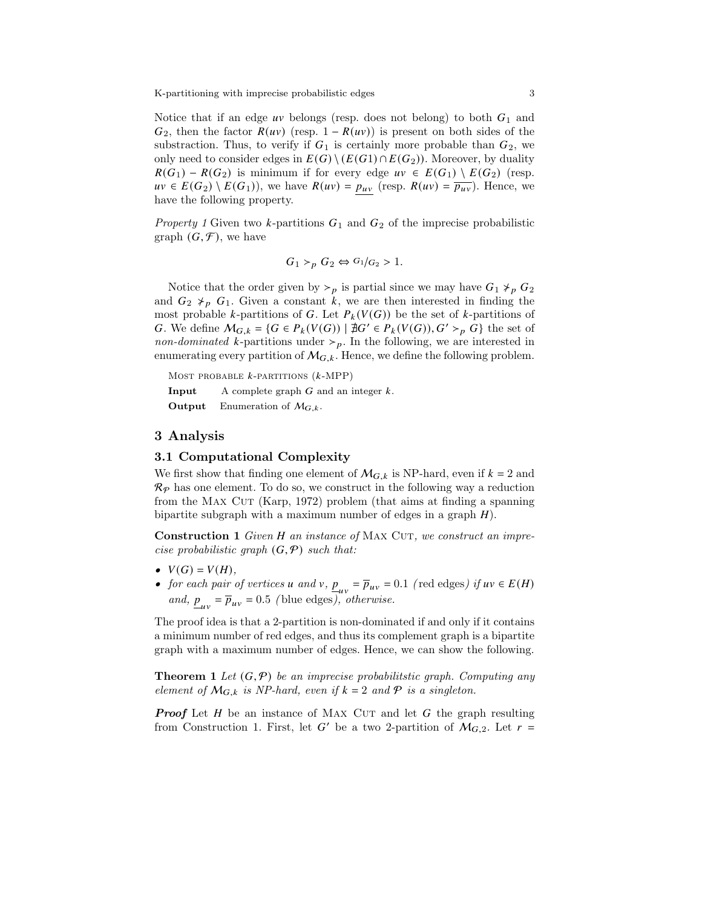Notice that if an edge  $uv$  belongs (resp. does not belong) to both  $G_1$  and  $G_2$ , then the factor  $R(uv)$  (resp.  $1 - R(uv)$ ) is present on both sides of the substraction. Thus, to verify if  $G_1$  is certainly more probable than  $G_2$ , we only need to consider edges in  $E(G) \setminus (E(G1) \cap E(G_2))$ . Moreover, by duality  $R(G_1) - R(G_2)$  is minimum if for every edge  $uv \in E(G_1) \setminus E(G_2)$  (resp.  $uv \in E(G_2) \setminus E(G_1)$ , we have  $R(uv) = p_{uv}$  (resp.  $R(uv) = \overline{p_{uv}}$ ). Hence, we have the following property.

*Property 1* Given two k-partitions  $G_1$  and  $G_2$  of the imprecise probabilistic graph  $(G,\mathcal{F})$ , we have

$$
G_1 >_p G_2 \Leftrightarrow G_1/G_2 > 1.
$$

Notice that the order given by  $\succ_p$  is partial since we may have  $G_1 \not\succ_p G_2$ and  $G_2 \nless_{p} G_1$ . Given a constant k, we are then interested in finding the most probable *k*-partitions of G. Let  $P_k(V(G))$  be the set of *k*-partitions of G. We define  $M_{G,k} = \{G \in P_k(V(G)) \mid \nexists G' \in P_k(V(G)), G' >_{p} G\}$  the set of non-dominated k-partitions under  $\succ_p$ . In the following, we are interested in enumerating every partition of  $\mathcal{M}_{G,k}$ . Hence, we define the following problem.

MOST PROBABLE  $k$ -partitions  $(k-MPP)$ 

**Input** A complete graph  $G$  and an integer  $k$ . **Output** Enumeration of  $M_{G,k}$ .

## 3 Analysis

#### 3.1 Computational Complexity

We first show that finding one element of  $\mathcal{M}_{G,k}$  is NP-hard, even if  $k = 2$  and  $\mathcal{R}_{\mathcal{P}}$  has one element. To do so, we construct in the following way a reduction from the MAX CUT (Karp, 1972) problem (that aims at finding a spanning bipartite subgraph with a maximum number of edges in a graph  $H$ ).

**Construction 1** Given  $H$  an instance of MAX CUT, we construct an imprecise probabilistic graph  $(G, \mathcal{P})$  such that:

- $V(G) = V(H)$ ,
- for each pair of vertices u and v,  $\underline{p}_{uv} = \overline{p}_{uv} = 0.1$  (red edges) if  $uv \in E(H)$ and,  $\underline{p}_{uv} = \overline{p}_{uv} = 0.5$  (blue edges), otherwise.

The proof idea is that a 2-partition is non-dominated if and only if it contains a minimum number of red edges, and thus its complement graph is a bipartite graph with a maximum number of edges. Hence, we can show the following.

**Theorem 1** Let  $(G, \mathcal{P})$  be an imprecise probabilitstic graph. Computing any element of  $M_{G,k}$  is NP-hard, even if  $k = 2$  and  $\mathcal P$  is a singleton.

**Proof** Let  $H$  be an instance of MAX CUT and let  $G$  the graph resulting from Construction 1. First, let G' be a two 2-partition of  $M_{G,2}$ . Let  $r =$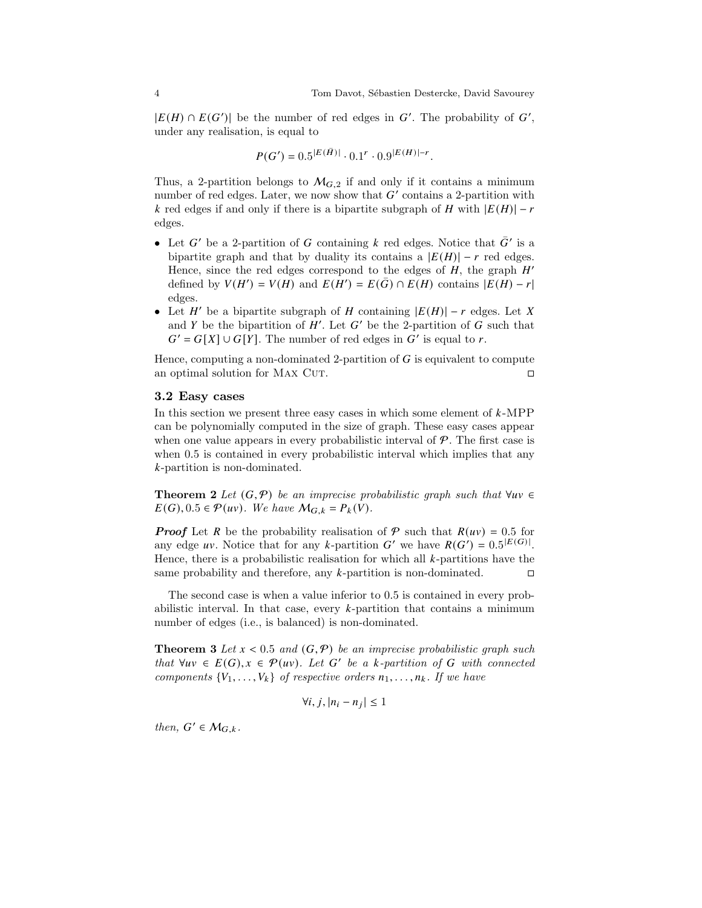$|E(H) \cap E(G')|$  be the number of red edges in G'. The probability of G', under any realisation, is equal to

$$
P(G') = 0.5^{|E(\bar{H})|} \cdot 0.1^r \cdot 0.9^{|E(H)| - r}.
$$

Thus, a 2-partition belongs to  $\mathcal{M}_{G,2}$  if and only if it contains a minimum number of red edges. Later, we now show that  $G'$  contains a 2-partition with k red edges if and only if there is a bipartite subgraph of  $H$  with  $|E(H)| - r$ edges.

- Let G' be a 2-partition of G containing k red edges. Notice that  $\bar{G}'$  is a bipartite graph and that by duality its contains a  $|E(H)| - r$  red edges. Hence, since the red edges correspond to the edges of  $H$ , the graph  $H'$ defined by  $V(H') = V(H)$  and  $E(H') = E(\bar{G}) \cap E(H)$  contains  $|E(H) - r|$ edges.
- Let  $H'$  be a bipartite subgraph of  $H$  containing  $|E(H)| r$  edges. Let  $X$ and Y be the bipartition of  $H'$ . Let  $G'$  be the 2-partition of  $G$  such that  $G' = G[X] \cup G[Y]$ . The number of red edges in  $G'$  is equal to r.

Hence, computing a non-dominated 2-partition of  $G$  is equivalent to compute an optimal solution for MAX CUT.  $\Box$ 

#### 3.2 Easy cases

In this section we present three easy cases in which some element of  $k$ -MPP can be polynomially computed in the size of graph. These easy cases appear when one value appears in every probabilistic interval of  $P$ . The first case is when  $0.5$  is contained in every probabilistic interval which implies that any  $k$ -partition is non-dominated.

**Theorem 2** Let  $(G, \mathcal{P})$  be an imprecise probabilistic graph such that  $\forall uv \in$  $E(G), 0.5 \in \mathcal{P}(uv)$ . We have  $\mathcal{M}_{G,k} = P_k(V)$ .

**Proof** Let R be the probability realisation of P such that  $R(uv) = 0.5$  for any edge uv. Notice that for any k-partition G' we have  $R(G') = 0.5^{|E(G)|}$ . Hence, there is a probabilistic realisation for which all  $k$ -partitions have the same probability and therefore, any  $k$ -partition is non-dominated.  $\Box$ 

The second case is when a value inferior to 0.5 is contained in every probabilistic interval. In that case, every  $k$ -partition that contains a minimum number of edges (i.e., is balanced) is non-dominated.

**Theorem 3** Let  $x < 0.5$  and  $(G, \mathcal{P})$  be an imprecise probabilistic graph such that  $\forall uv \in E(G), x \in \mathcal{P}(uv)$ . Let G' be a k-partition of G with connected components  $\{V_1, \ldots, V_k\}$  of respective orders  $n_1, \ldots, n_k$ . If we have

$$
\forall i, j, |n_i - n_j| \le 1
$$

then,  $G' \in M_{G,k}$ .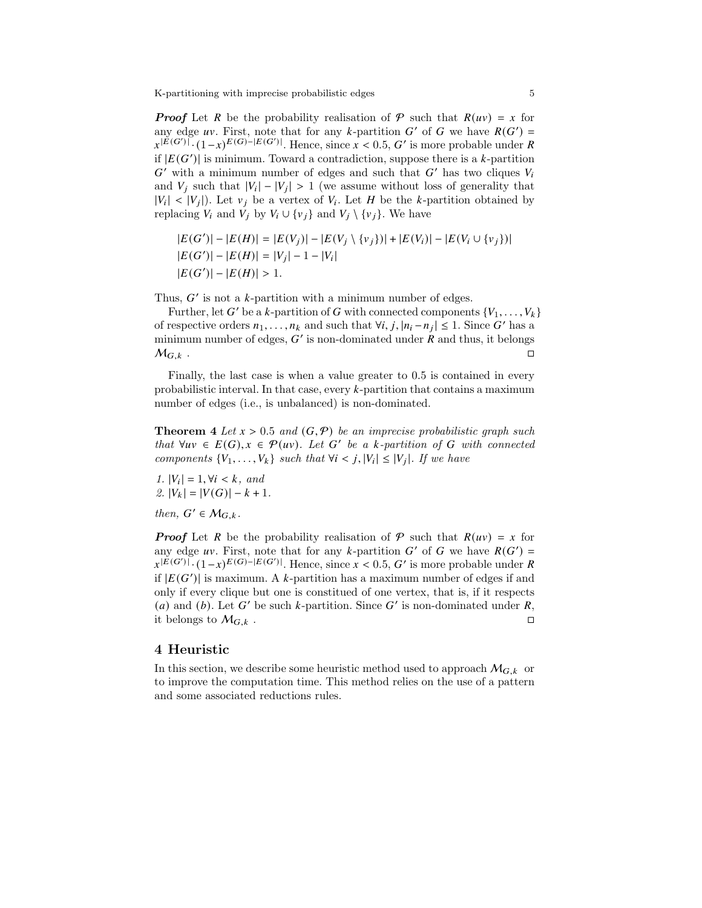**Proof** Let R be the probability realisation of P such that  $R(uv) = x$  for any edge uv. First, note that for any k-partition  $G'$  of  $G$  we have  $R(G') =$  $x^{|\cancel{E}(G')|} \cdot (1-x)^{E(G)-|E(G')|}$ . Hence, since  $x < 0.5$ , G' is more probable under R if  $|E(G')|$  is minimum. Toward a contradiction, suppose there is a k-partition  $G'$  with a minimum number of edges and such that  $G'$  has two cliques  $V_i$ and  $V_i$  such that  $|V_i| - |V_i| > 1$  (we assume without loss of generality that  $|V_i| < |V_j|$ ). Let  $v_j$  be a vertex of  $V_i$ . Let H be the k-partition obtained by replacing  $V_i$  and  $V_j$  by  $V_i \cup \{v_j\}$  and  $V_j \setminus \{v_j\}$ . We have

$$
|E(G')| - |E(H)| = |E(V_j)| - |E(V_j \setminus \{v_j\})| + |E(V_i)| - |E(V_i \cup \{v_j\})|
$$
  

$$
|E(G')| - |E(H)| = |V_j| - 1 - |V_i|
$$
  

$$
|E(G')| - |E(H)| > 1.
$$

Thus,  $G'$  is not a  $k$ -partition with a minimum number of edges.

Further, let G' be a k-partition of G with connected components  $\{V_1, \ldots, V_k\}$ of respective orders  $n_1, \ldots, n_k$  and such that  $\forall i, j, |n_i - n_j| \leq 1$ . Since G' has a minimum number of edges,  $G'$  is non-dominated under  $\tilde{R}$  and thus, it belongs  $\mathcal{M}_{G, k}$  .

Finally, the last case is when a value greater to 0.5 is contained in every probabilistic interval. In that case, every  $k$ -partition that contains a maximum number of edges (i.e., is unbalanced) is non-dominated.

**Theorem 4** Let  $x > 0.5$  and  $(G, \mathcal{P})$  be an imprecise probabilistic graph such that  $\forall uv \in E(G)$ ,  $x \in \mathcal{P}(uv)$ . Let G' be a k-partition of G with connected components  $\{V_1, \ldots, V_k\}$  such that  $\forall i < j, |V_i| \leq |V_j|$ . If we have

1.  $|V_i| = 1, \forall i < k, \text{ and}$ 2.  $|V_k| = |V(G)| - k + 1$ .

then,  $G' \in \mathcal{M}_{G,k}$ .

**Proof** Let R be the probability realisation of P such that  $R(uv) = x$  for any edge  $uv$ . First, note that for any k-partition G' of G we have  $R(G') =$  $x^{|\cancel{E}(G')|} \cdot (1-x)^{E(G)-|E(G')|}$ . Hence, since  $x < 0.5$ , G' is more probable under R if  $|E(G')|$  is maximum. A k-partition has a maximum number of edges if and only if every clique but one is constitued of one vertex, that is, if it respects (a) and (b). Let G' be such k-partition. Since G' is non-dominated under  $R$ , it belongs to  $\mathcal{M}_{G,k}$ .

## 4 Heuristic

In this section, we describe some heuristic method used to approach  $\mathcal{M}_{G,k}$  or to improve the computation time. This method relies on the use of a pattern and some associated reductions rules.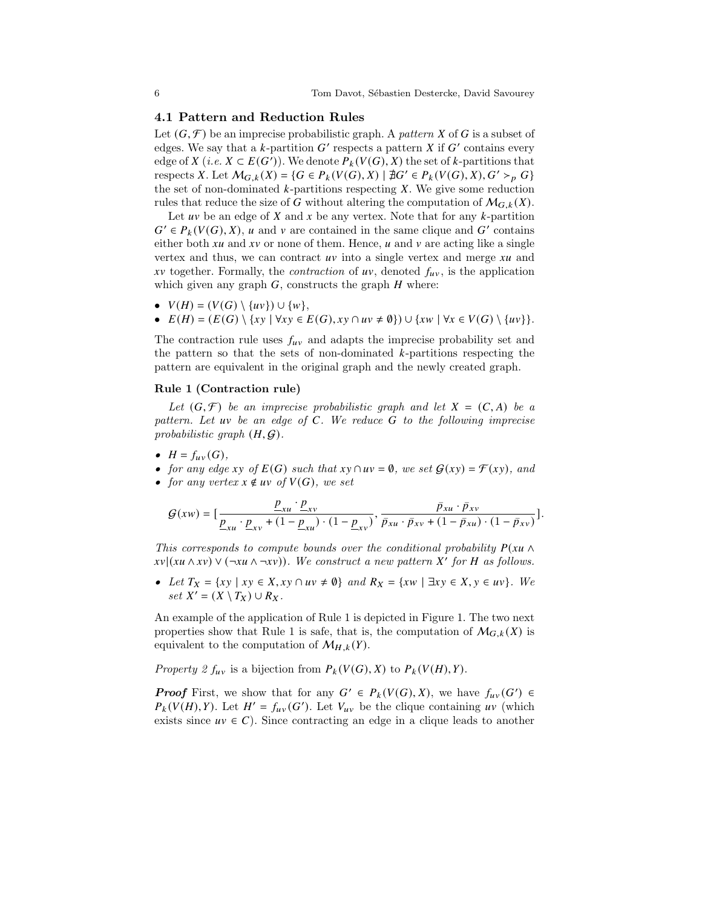#### 4.1 Pattern and Reduction Rules

Let  $(G, \mathcal{F})$  be an imprecise probabilistic graph. A pattern X of G is a subset of edges. We say that a  $k$ -partition  $G'$  respects a pattern  $X$  if  $G'$  contains every edge of X (*i.e.*  $X \subset E(G')$ ). We denote  $P_k(V(G), X)$  the set of k-partitions that respects X. Let  $M_{G,k}(X) = \{G \in P_k(V(G), X) \mid \nexists G' \in P_k(V(G), X), G' >_{p} G\}$ the set of non-dominated  $k$ -partitions respecting  $X$ . We give some reduction rules that reduce the size of G without altering the computation of  $\mathcal{M}_{G,k}(X)$ .

Let  $uv$  be an edge of  $X$  and  $x$  be any vertex. Note that for any  $k$ -partition  $G' \in P_k(V(G), X)$ , u and v are contained in the same clique and G' contains either both  $x\mu$  and  $x\nu$  or none of them. Hence,  $\mu$  and  $\nu$  are acting like a single vertex and thus, we can contract  $uv$  into a single vertex and merge  $xu$  and *xv* together. Formally, the *contraction* of  $uv$ , denoted  $f_{uv}$ , is the application which given any graph  $G$ , constructs the graph  $H$  where:

- $V(H) = (V(G) \setminus \{uv\}) \cup \{w\},\$
- $E(H) = (E(G) \setminus \{xy \mid \forall xy \in E(G), xy \cap uv \neq \emptyset\}) \cup \{xw \mid \forall x \in V(G) \setminus \{uv\}\}.$

The contraction rule uses  $f_{uv}$  and adapts the imprecise probability set and the pattern so that the sets of non-dominated  $k$ -partitions respecting the pattern are equivalent in the original graph and the newly created graph.

#### Rule 1 (Contraction rule)

Let  $(G, \mathcal{F})$  be an imprecise probabilistic graph and let  $X = (C, A)$  be a pattern. Let uv be an edge of  $C$ . We reduce  $G$  to the following imprecise probabilistic graph  $(H, \mathcal{G})$ .

- $H = f_{uv}(G)$ ,
- for any edge xy of  $E(G)$  such that  $xy \cap uv = \emptyset$ , we set  $G(xy) = \mathcal{F}(xy)$ , and
- for any vertex  $x \notin uv$  of  $V(G)$ , we set

$$
\mathcal{G}(xw) = \left[\frac{\underline{p}_{xu} \cdot \underline{p}_{xv}}{\underline{p}_{xu} \cdot \underline{p}_{xv} + (1 - \underline{p}_{xu}) \cdot (1 - \underline{p}_{xv})}, \frac{\overline{p}_{xu} \cdot \overline{p}_{xv}}{\overline{p}_{xu} \cdot \overline{p}_{xv} + (1 - \overline{p}_{xu}) \cdot (1 - \overline{p}_{xv})}\right].
$$

This corresponds to compute bounds over the conditional probability  $P(xu \wedge$  $xv(xu \wedge xv) \vee (\neg xu \wedge \neg xv)$ . We construct a new pattern X' for H as follows.

• Let  $T_X = \{xy \mid xy \in X, xy \cap uv \neq \emptyset\}$  and  $R_X = \{xw \mid \exists xy \in X, y \in uv\}$ . We  $set X' = (X \setminus T_X) \cup R_X.$ 

An example of the application of Rule 1 is depicted in Figure 1. The two next properties show that Rule 1 is safe, that is, the computation of  $\mathcal{M}_{G,k}(X)$  is equivalent to the computation of  $\mathcal{M}_{H,k}(Y)$ .

Property 2  $f_{uv}$  is a bijection from  $P_k(V(G), X)$  to  $P_k(V(H), Y)$ .

**Proof** First, we show that for any  $G' \in P_k(V(G), X)$ , we have  $f_{uv}(G') \in$  $P_k(V(H), Y)$ . Let  $H' = f_{uv}(G')$ . Let  $V_{uv}$  be the clique containing uv (which exists since  $uv \in C$ ). Since contracting an edge in a clique leads to another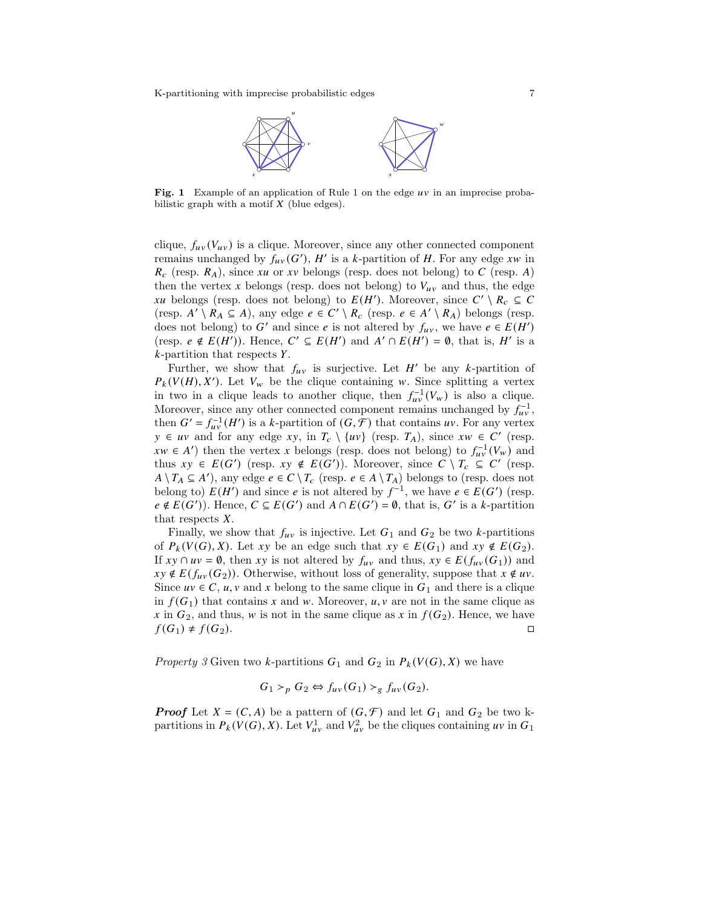

**Fig. 1** Example of an application of Rule 1 on the edge  $uv$  in an imprecise probabilistic graph with a motif  $X$  (blue edges).

clique,  $f_{uv}(V_{uv})$  is a clique. Moreover, since any other connected component remains unchanged by  $f_{uv}(G')$ , H' is a k-partition of H. For any edge xw in  $R_c$  (resp.  $R_A$ ), since  $xu$  or  $xv$  belongs (resp. does not belong) to C (resp. A) then the vertex x belongs (resp. does not belong) to  $V_{uv}$  and thus, the edge xu belongs (resp. does not belong) to  $E(H')$ . Moreover, since  $C' \setminus R_c \subseteq C$ (resp.  $A' \setminus R_A \subseteq A$ ), any edge  $e \in C' \setminus R_c$  (resp.  $e \in A' \setminus R_A$ ) belongs (resp. does not belong) to G' and since e is not altered by  $f_{uv}$ , we have  $e \in E(H')$ (resp.  $e \notin E(H')$ ). Hence,  $C' \subseteq E(H')$  and  $A' \cap E(H') = \emptyset$ , that is, H' is a  $k$ -partition that respects  $Y$ .

Further, we show that  $f_{\mu\nu}$  is surjective. Let H' be any k-partition of  $P_k(V(H), X')$ . Let  $V_w$  be the clique containing w. Since splitting a vertex in two in a clique leads to another clique, then  $f_{uv}^{-1}(V_w)$  is also a clique. Moreover, since any other connected component remains unchanged by  $f_{uv}^{-1}$ , then  $G' = f_{uv}^{-1}(H')$  is a k-partition of  $(G, \mathcal{F})$  that contains uv. For any vertex  $y \in uv$  and for any edge  $xy$ , in  $T_c \setminus \{uv\}$  (resp.  $T_A$ ), since  $xw \in C'$  (resp.  $xw \in A'$ ) then the vertex x belongs (resp. does not belong) to  $f_{uv}^{-1}(V_w)$  and thus  $xy \in E(G')$  (resp.  $xy \notin E(G')$ ). Moreover, since  $C \setminus T_c \subseteq C'$  (resp.  $A \setminus T_A \subseteq A'$ , any edge  $e \in C \setminus T_c$  (resp.  $e \in A \setminus T_A$ ) belongs to (resp. does not belong to)  $E(H')$  and since e is not altered by  $f^{-1}$ , we have  $e \in E(G')$  (resp.  $e \notin E(G')$ ). Hence,  $C \subseteq E(G')$  and  $A \cap E(G') = \emptyset$ , that is, G' is a k-partition that respects  $X$ .

Finally, we show that  $f_{uv}$  is injective. Let  $G_1$  and  $G_2$  be two k-partitions of  $P_k(V(G), X)$ . Let xy be an edge such that  $xy \in E(G_1)$  and  $xy \notin E(G_2)$ . If  $xy \cap uv = \emptyset$ , then  $xy$  is not altered by  $f_{uv}$  and thus,  $xy \in E(f_{uv}(G_1))$  and  $xy \notin E(f_{uv}(G_2))$ . Otherwise, without loss of generality, suppose that  $x \notin uv$ . Since  $uv \in C$ ,  $u, v$  and  $x$  belong to the same clique in  $G_1$  and there is a clique in  $f(G_1)$  that contains x and w. Moreover,  $u, v$  are not in the same clique as x in  $G_2$ , and thus, w is not in the same clique as x in  $f(G_2)$ . Hence, we have  $f(G_1) \neq f(G_2).$ 

Property 3 Given two k-partitions  $G_1$  and  $G_2$  in  $P_k(V(G), X)$  we have

$$
G_1 >_p G_2 \Leftrightarrow f_{uv}(G_1) >_g f_{uv}(G_2).
$$

**Proof** Let  $X = (C, A)$  be a pattern of  $(G, \mathcal{F})$  and let  $G_1$  and  $G_2$  be two kpartitions in  $P_k(V(G), X)$ . Let  $V^1_{uv}$  and  $V^2_{uv}$  be the cliques containing  $uv$  in  $G_1$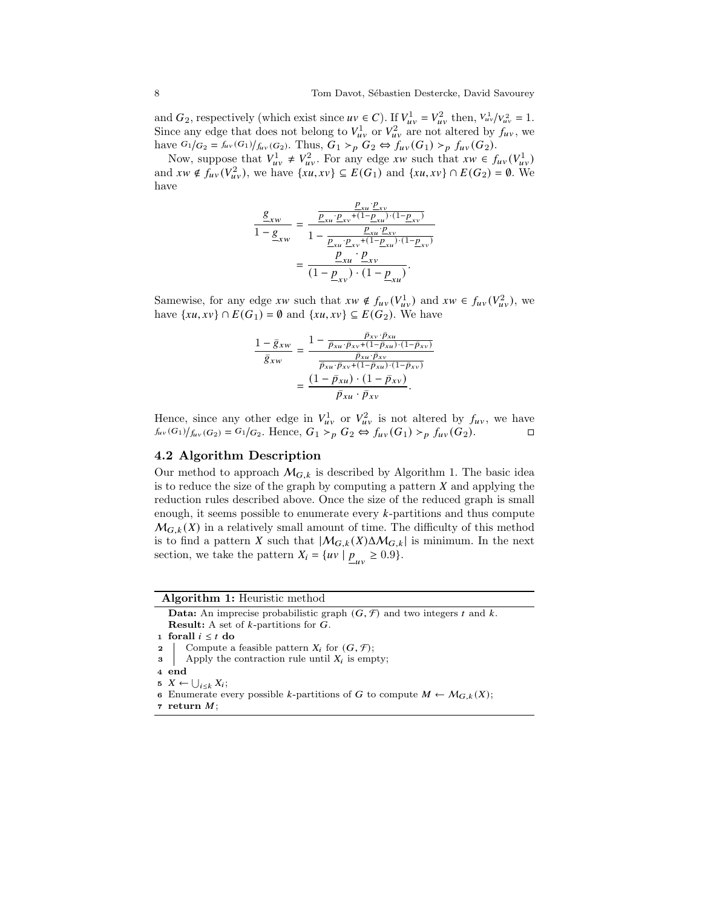and  $G_2$ , respectively (which exist since  $uv \in C$ ). If  $V_{uv}^1 = V_{uv}^2$  then,  $V_{uv}^1 / V_{uv}^2 = 1$ . Since any edge that does not belong to  $V_{uv}^1$  or  $V_{uv}^2$  are not altered by  $f_{uv}$ , we have  $G_1/G_2 = f_{uv}(G_1)/f_{uv}(G_2)$ . Thus,  $G_1 >_p G_2 \Leftrightarrow f_{uv}(G_1) >_p f_{uv}(G_2)$ .

Now, suppose that  $V_{uv}^1 \neq V_{uv}^2$ . For any edge xw such that  $xw \in f_{uv}(V_{uv}^1)$ and  $xw \notin f_{uv}(V_{uv}^2)$ , we have  $\{xu, xv\} \subseteq E(G_1)$  and  $\{xu, xv\} \cap E(G_2) = \emptyset$ . We have

$$
\frac{\underline{g}_{xw}}{1 - \underline{g}_{xw}} = \frac{\frac{\underline{p}_{xu} \cdot \underline{p}_{xv}}{1 - \underline{p}_{xu} \cdot (1 - \underline{p}_{xu}) \cdot (1 - \underline{p}_{xv})}}{1 - \frac{\underline{p}_{xu} \cdot \underline{p}_{xv}}{1 - \underline{p}_{xv} \cdot (1 - \underline{p}_{xv}) \cdot (1 - \underline{p}_{xv})}} = \frac{\underline{p}_{xu} \cdot \underline{p}_{xv}}{(1 - \underline{p}_{xv}) \cdot (1 - \underline{p}_{xv})}.
$$

Samewise, for any edge xw such that  $xw \notin f_{uv}(V_{uv}^1)$  and  $xw \in f_{uv}(V_{uv}^2)$ , we have  $\{xu, xv\} \cap E(G_1) = \emptyset$  and  $\{xu, xv\} \subseteq E(G_2)$ . We have

$$
\frac{1 - \bar{g}_{xw}}{\bar{g}_{xw}} = \frac{1 - \frac{\bar{p}_{xv} \cdot \bar{p}_{xu}}{\bar{p}_{xv} + (1 - \bar{p}_{xu}) \cdot (1 - \bar{p}_{xv})}}{\frac{\bar{p}_{xu} \cdot \bar{p}_{xv}}{\bar{p}_{xu} \cdot \bar{p}_{xv} + (1 - \bar{p}_{xu}) \cdot (1 - \bar{p}_{xv})}} = \frac{(1 - \bar{p}_{xu}) \cdot (1 - \bar{p}_{xv})}{\bar{p}_{xu} \cdot \bar{p}_{xv}}.
$$

Hence, since any other edge in  $V_{uv}^1$  or  $V_{uv}^2$  is not altered by  $f_{uv}$ , we have  $f_{uv}(G_1)/f_{uv}(G_2) = G_1/G_2$ . Hence,  $G_1 >_p G_2 \Leftrightarrow f_{uv}(G_1) >_p f_{uv}(G_2)$ .

# 4.2 Algorithm Description

Our method to approach  $M_{G,k}$  is described by Algorithm 1. The basic idea is to reduce the size of the graph by computing a pattern  $X$  and applying the reduction rules described above. Once the size of the reduced graph is small enough, it seems possible to enumerate every  $k$ -partitions and thus compute  $\mathcal{M}_{G,k}(X)$  in a relatively small amount of time. The difficulty of this method is to find a pattern  $X$  such that  $|\mathcal{M}_{G,k}(X)\Delta \mathcal{M}_{G,k}|$  is minimum. In the next section, we take the pattern  $X_i = \{uv \mid \underline{p}_{uv} \ge 0.9\}.$ 

#### Algorithm 1: Heuristic method

**Data:** An imprecise probabilistic graph  $(G, \mathcal{F})$  and two integers t and k. **Result:** A set of  $k$ -partitions for  $G$ . 1 for<br>all  $i\leq t$  do 2 Compute a feasible pattern  $X_i$  for  $(G, \mathcal{F})$ ; **3** Apply the contraction rule until  $X_i$  is empty; <sup>4</sup> end  $5 \, X \leftarrow \bigcup_{i \leq k} X_i;$ 6 Enumerate every possible k-partitions of G to compute  $M \leftarrow M_{G,k}(X);$  $7$  return  $M$ ;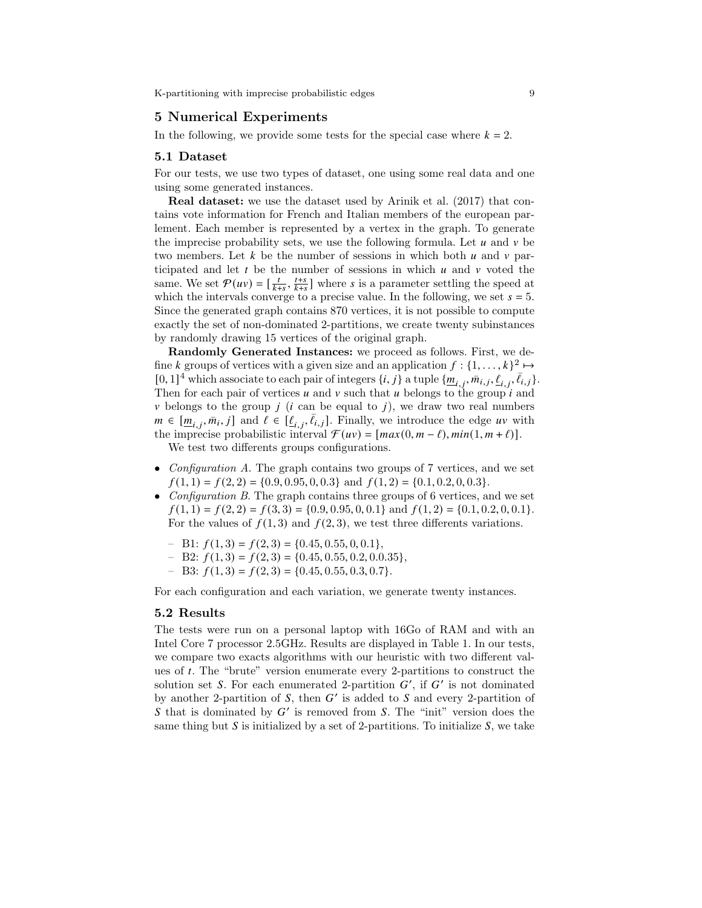## 5 Numerical Experiments

In the following, we provide some tests for the special case where  $k = 2$ .

#### 5.1 Dataset

For our tests, we use two types of dataset, one using some real data and one using some generated instances.

Real dataset: we use the dataset used by Arinik et al. (2017) that contains vote information for French and Italian members of the european parlement. Each member is represented by a vertex in the graph. To generate the imprecise probability sets, we use the following formula. Let  $\mu$  and  $\nu$  be two members. Let  $k$  be the number of sessions in which both  $u$  and  $v$  participated and let  $t$  be the number of sessions in which  $u$  and  $v$  voted the same. We set  $P(uv) = \left[\frac{t}{k+s}, \frac{t+s}{k+s}\right]$  where *s* is a parameter settling the speed at which the intervals converge to a precise value. In the following, we set  $s = 5$ . Since the generated graph contains 870 vertices, it is not possible to compute exactly the set of non-dominated 2-partitions, we create twenty subinstances by randomly drawing 15 vertices of the original graph.

Randomly Generated Instances: we proceed as follows. First, we define k groups of vertices with a given size and an application  $f: \{1, \ldots, k\}^2 \mapsto$  $[0, 1]^4$  which associate to each pair of integers  $\{i, j\}$  a tuple  $\{\underline{m}_{i,j}, \overline{m}_{i,j}, \underline{\ell}_{i,j}, \overline{\ell}_{i,j}\}$ . Then for each pair of vertices  $u$  and  $v$  such that  $u$  belongs to the group  $\tilde{i}$  and  $\nu$  belongs to the group  $j$  (*i* can be equal to  $j$ ), we draw two real numbers  $m \in [\underline{m}_{i,j}, \overline{m}_i, j]$  and  $\ell \in [\underline{\ell}_{i,j}, \overline{\ell}_{i,j}]$ . Finally, we introduce the edge uv with the imprecise probabilistic interval  $\mathcal{F}(uv) = [max(0, m - \ell), min(1, m + \ell)].$ 

We test two differents groups configurations.

- Configuration A. The graph contains two groups of 7 vertices, and we set  $f(1, 1) = f(2, 2) = \{0.9, 0.95, 0, 0.3\}$  and  $f(1, 2) = \{0.1, 0.2, 0, 0.3\}.$
- Configuration B. The graph contains three groups of 6 vertices, and we set  $f(1, 1) = f(2, 2) = f(3, 3) = \{0.9, 0.95, 0, 0.1\}$  and  $f(1, 2) = \{0.1, 0.2, 0, 0.1\}$ . For the values of  $f(1,3)$  and  $f(2,3)$ , we test three differents variations.
	- $-$  B1:  $f(1, 3) = f(2, 3) = \{0.45, 0.55, 0, 0.1\},\$
	- $-$  B2:  $f(1, 3) = f(2, 3) = \{0.45, 0.55, 0.2, 0.0.35\},\$
	- $-$  B3:  $f(1,3) = f(2,3) = \{0.45, 0.55, 0.3, 0.7\}.$

For each configuration and each variation, we generate twenty instances.

#### 5.2 Results

The tests were run on a personal laptop with 16Go of RAM and with an Intel Core 7 processor 2.5GHz. Results are displayed in Table 1. In our tests, we compare two exacts algorithms with our heuristic with two different values of  $t$ . The "brute" version enumerate every 2-partitions to construct the solution set S. For each enumerated 2-partition  $G'$ , if  $G'$  is not dominated by another 2-partition of  $S$ , then  $G'$  is added to  $S$  and every 2-partition of  $S$  that is dominated by  $G'$  is removed from  $S$ . The "init" version does the same thing but  $S$  is initialized by a set of 2-partitions. To initialize  $S$ , we take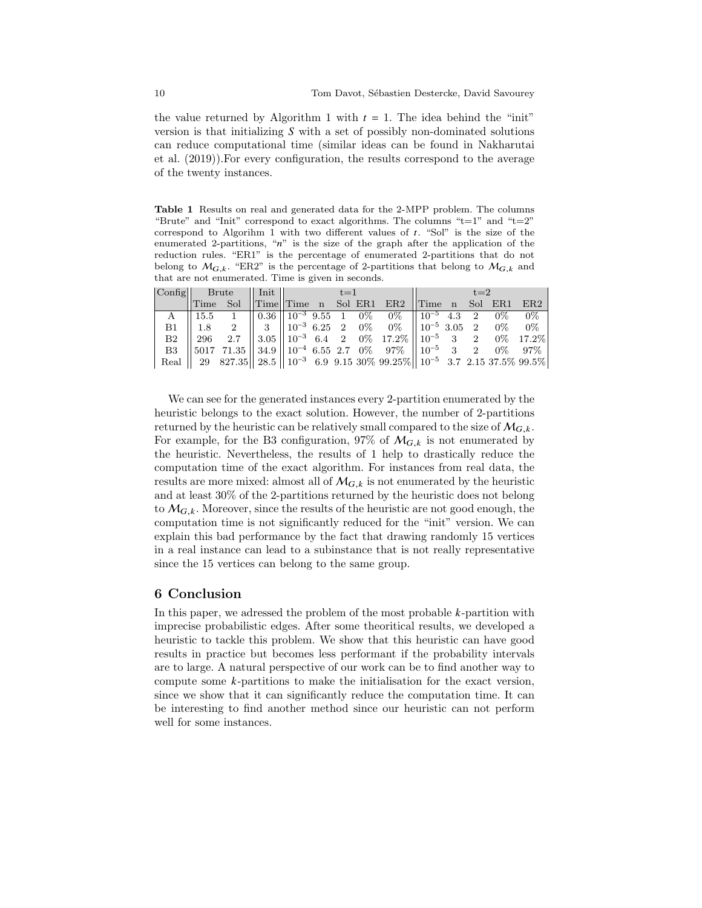the value returned by Algorithm 1 with  $t = 1$ . The idea behind the "init" version is that initializing  $S$  with a set of possibly non-dominated solutions can reduce computational time (similar ideas can be found in Nakharutai et al. (2019)).For every configuration, the results correspond to the average of the twenty instances.

Table 1 Results on real and generated data for the 2-MPP problem. The columns "Brute" and "Init" correspond to exact algorithms. The columns " $t=1$ " and " $t=2$ " correspond to Algorihm 1 with two different values of  $t$ . "Sol" is the size of the enumerated 2-partitions, " $n$ " is the size of the graph after the application of the reduction rules. "ER1" is the percentage of enumerated 2-partitions that do not belong to  $M_{G,k}$ . "ER2" is the percentage of 2-partitions that belong to  $M_{G,k}$  and that are not enumerated. Time is given in seconds.

We can see for the generated instances every 2-partition enumerated by the heuristic belongs to the exact solution. However, the number of 2-partitions returned by the heuristic can be relatively small compared to the size of  $M_{G,k}$ . For example, for the B3 configuration, 97% of  $M_{G, k}$  is not enumerated by the heuristic. Nevertheless, the results of 1 help to drastically reduce the computation time of the exact algorithm. For instances from real data, the results are more mixed: almost all of  $\mathcal{M}_{G,k}$  is not enumerated by the heuristic and at least 30% of the 2-partitions returned by the heuristic does not belong to  $M_{G,k}$ . Moreover, since the results of the heuristic are not good enough, the computation time is not significantly reduced for the "init" version. We can explain this bad performance by the fact that drawing randomly 15 vertices in a real instance can lead to a subinstance that is not really representative since the 15 vertices can belong to the same group.

# 6 Conclusion

In this paper, we adressed the problem of the most probable  $k$ -partition with imprecise probabilistic edges. After some theoritical results, we developed a heuristic to tackle this problem. We show that this heuristic can have good results in practice but becomes less performant if the probability intervals are to large. A natural perspective of our work can be to find another way to compute some  $k$ -partitions to make the initialisation for the exact version, since we show that it can significantly reduce the computation time. It can be interesting to find another method since our heuristic can not perform well for some instances.